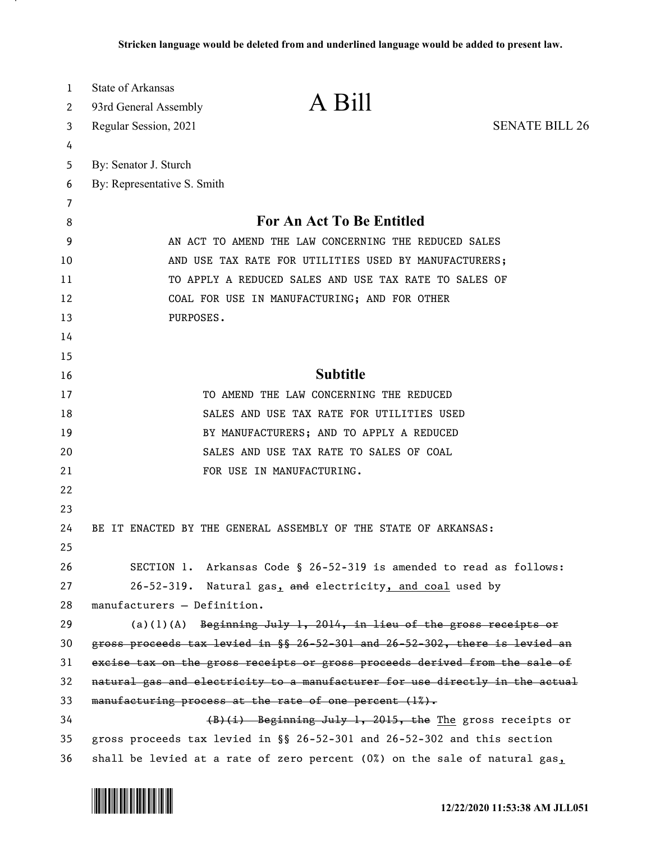| 1  | State of Arkansas                                                            |                       |
|----|------------------------------------------------------------------------------|-----------------------|
| 2  | A Bill<br>93rd General Assembly                                              |                       |
| 3  | Regular Session, 2021                                                        | <b>SENATE BILL 26</b> |
| 4  |                                                                              |                       |
| 5  | By: Senator J. Sturch                                                        |                       |
| 6  | By: Representative S. Smith                                                  |                       |
| 7  |                                                                              |                       |
| 8  | For An Act To Be Entitled                                                    |                       |
| 9  | AN ACT TO AMEND THE LAW CONCERNING THE REDUCED SALES                         |                       |
| 10 | AND USE TAX RATE FOR UTILITIES USED BY MANUFACTURERS;                        |                       |
| 11 | TO APPLY A REDUCED SALES AND USE TAX RATE TO SALES OF                        |                       |
| 12 | COAL FOR USE IN MANUFACTURING; AND FOR OTHER                                 |                       |
| 13 | PURPOSES.                                                                    |                       |
| 14 |                                                                              |                       |
| 15 |                                                                              |                       |
| 16 | <b>Subtitle</b>                                                              |                       |
| 17 | TO AMEND THE LAW CONCERNING THE REDUCED                                      |                       |
| 18 | SALES AND USE TAX RATE FOR UTILITIES USED                                    |                       |
| 19 | BY MANUFACTURERS; AND TO APPLY A REDUCED                                     |                       |
| 20 | SALES AND USE TAX RATE TO SALES OF COAL                                      |                       |
| 21 | FOR USE IN MANUFACTURING.                                                    |                       |
| 22 |                                                                              |                       |
| 23 |                                                                              |                       |
| 24 | BE IT ENACTED BY THE GENERAL ASSEMBLY OF THE STATE OF ARKANSAS:              |                       |
| 25 |                                                                              |                       |
| 26 | SECTION 1. Arkansas Code § 26-52-319 is amended to read as follows:          |                       |
| 27 | 26-52-319. Natural gas, and electricity, and coal used by                    |                       |
| 28 | manufacturers - Definition.                                                  |                       |
| 29 | $(a)(1)(A)$ Beginning July 1, 2014, in lieu of the gross receipts or         |                       |
| 30 | gross proceeds tax levied in §§ 26-52-301 and 26-52-302, there is levied an  |                       |
| 31 | excise tax on the gross receipts or gross proceeds derived from the sale of  |                       |
| 32 | natural gas and electricity to a manufacturer for use directly in the actual |                       |
| 33 | manufacturing process at the rate of one percent $(1%)$ .                    |                       |
| 34 | $(B)(i)$ Beginning July 1, 2015, the The gross receipts or                   |                       |
| 35 | gross proceeds tax levied in §§ 26-52-301 and 26-52-302 and this section     |                       |
| 36 | shall be levied at a rate of zero percent (0%) on the sale of natural gas,   |                       |

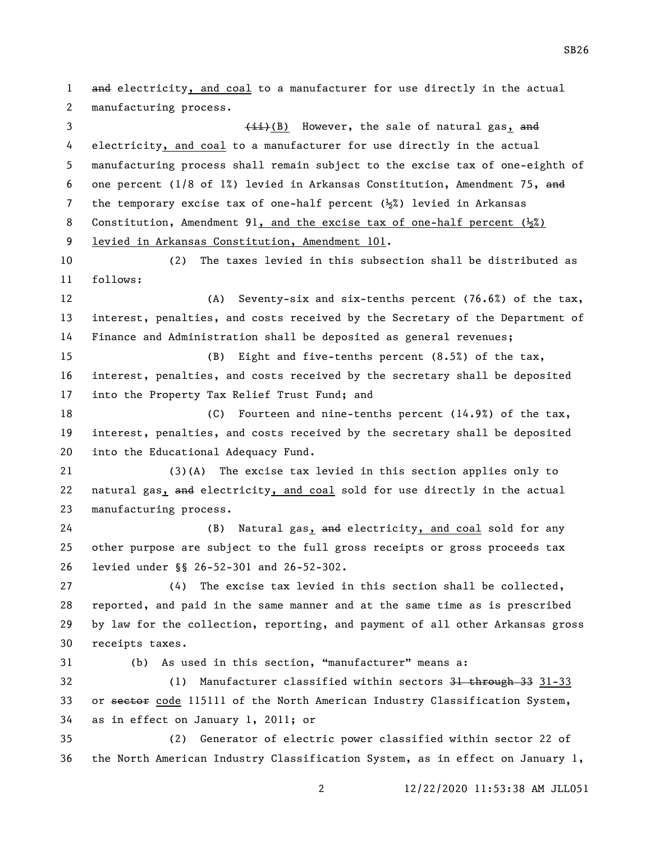and electricity, and coal to a manufacturer for use directly in the actual manufacturing process. 3 (ii)(B) However, the sale of natural gas, and electricity, and coal to a manufacturer for use directly in the actual manufacturing process shall remain subject to the excise tax of one-eighth of one percent (1/8 of 1%) levied in Arkansas Constitution, Amendment 75, and 7 the temporary excise tax of one-half percent  $(\frac{1}{2})$  levied in Arkansas 8 Constitution, Amendment 91, and the excise tax of one-half percent  $(\frac{1}{2})$  levied in Arkansas Constitution, Amendment 101. (2) The taxes levied in this subsection shall be distributed as follows: (A) Seventy-six and six-tenths percent (76.6%) of the tax, interest, penalties, and costs received by the Secretary of the Department of Finance and Administration shall be deposited as general revenues; (B) Eight and five-tenths percent (8.5%) of the tax, interest, penalties, and costs received by the secretary shall be deposited into the Property Tax Relief Trust Fund; and (C) Fourteen and nine-tenths percent (14.9%) of the tax, interest, penalties, and costs received by the secretary shall be deposited into the Educational Adequacy Fund. (3)(A) The excise tax levied in this section applies only to natural gas, and electricity, and coal sold for use directly in the actual manufacturing process. 24 (B) Natural gas, and electricity, and coal sold for any other purpose are subject to the full gross receipts or gross proceeds tax levied under §§ 26-52-301 and 26-52-302. (4) The excise tax levied in this section shall be collected, reported, and paid in the same manner and at the same time as is prescribed by law for the collection, reporting, and payment of all other Arkansas gross receipts taxes. (b) As used in this section, "manufacturer" means a: (1) Manufacturer classified within sectors 31 through 33 31-33 33 or sector code 115111 of the North American Industry Classification System, as in effect on January 1, 2011; or (2) Generator of electric power classified within sector 22 of the North American Industry Classification System, as in effect on January 1,

12/22/2020 11:53:38 AM JLL051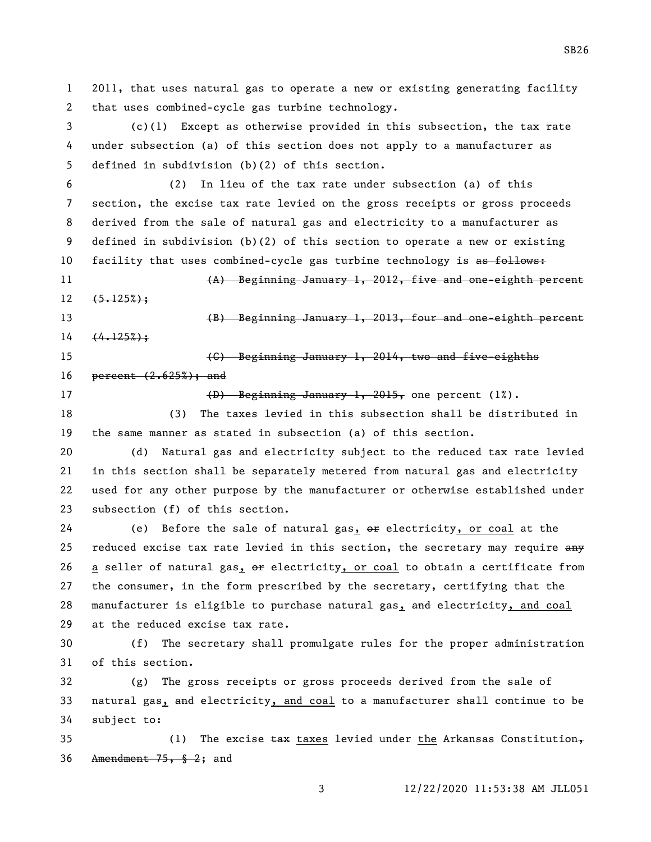2011, that uses natural gas to operate a new or existing generating facility that uses combined-cycle gas turbine technology.

 (c)(1) Except as otherwise provided in this subsection, the tax rate under subsection (a) of this section does not apply to a manufacturer as defined in subdivision (b)(2) of this section.

 (2) In lieu of the tax rate under subsection (a) of this section, the excise tax rate levied on the gross receipts or gross proceeds derived from the sale of natural gas and electricity to a manufacturer as defined in subdivision (b)(2) of this section to operate a new or existing 10 facility that uses combined-cycle gas turbine technology is as follows:

 (A) Beginning January 1, 2012, five and one-eighth percent  $12 \quad \{5.125\}\;$ 

 (B) Beginning January 1, 2013, four and one-eighth percent  $14 + \frac{(4.125\%)}{4}$ 

 (C) Beginning January 1, 2014, two and five-eighths 16 **percent**  $(2.625%)$ ; and

17 (D) Beginning January 1, 2015, one percent (1%).

 (3) The taxes levied in this subsection shall be distributed in the same manner as stated in subsection (a) of this section.

 (d) Natural gas and electricity subject to the reduced tax rate levied in this section shall be separately metered from natural gas and electricity used for any other purpose by the manufacturer or otherwise established under subsection (f) of this section.

24 (e) Before the sale of natural gas,  $\theta$  electricity, or coal at the 25 reduced excise tax rate levied in this section, the secretary may require any 26 a seller of natural gas, or electricity, or coal to obtain a certificate from the consumer, in the form prescribed by the secretary, certifying that the 28 manufacturer is eligible to purchase natural gas, and electricity, and coal at the reduced excise tax rate.

 (f) The secretary shall promulgate rules for the proper administration of this section.

 (g) The gross receipts or gross proceeds derived from the sale of 33 natural gas, and electricity, and coal to a manufacturer shall continue to be subject to:

35 (1) The excise  $\frac{1}{2}$  taxes levied under the Arkansas Constitution, Amendment 75, § 2; and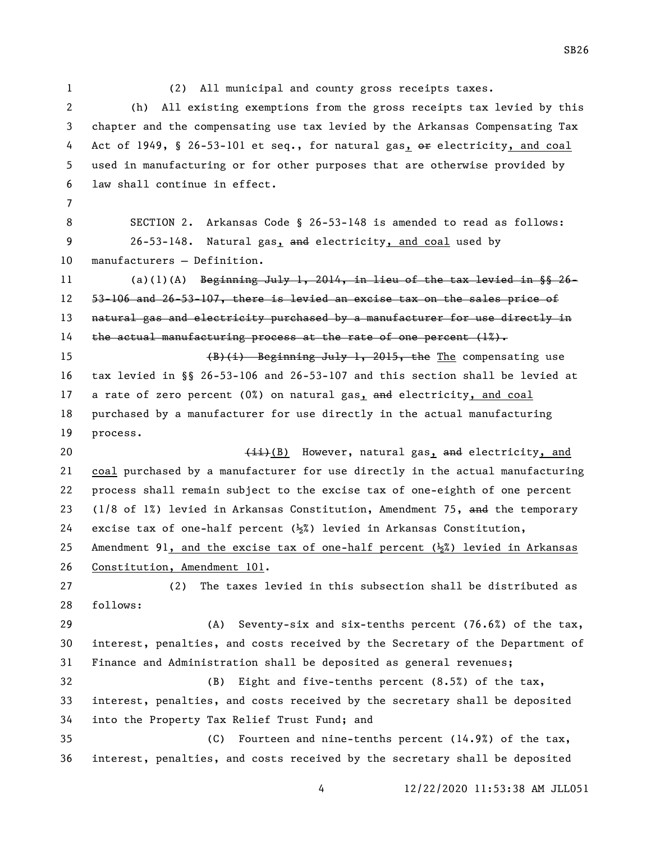(2) All municipal and county gross receipts taxes. (h) All existing exemptions from the gross receipts tax levied by this chapter and the compensating use tax levied by the Arkansas Compensating Tax 4 Act of 1949, § 26-53-101 et seq., for natural gas,  $\theta$  re electricity, and coal used in manufacturing or for other purposes that are otherwise provided by law shall continue in effect. SECTION 2. Arkansas Code § 26-53-148 is amended to read as follows: 9 26-53-148. Natural gas, and electricity, and coal used by manufacturers — Definition. 11 (a)(1)(A) Beginning July 1, 2014, in lieu of the tax levied in  $\S 26$ - 53-106 and 26-53-107, there is levied an excise tax on the sales price of 13 natural gas and electricity purchased by a manufacturer for use directly in 14 the actual manufacturing process at the rate of one percent  $(1%)$ . (B)(i) Beginning July 1, 2015, the The compensating use tax levied in §§ 26-53-106 and 26-53-107 and this section shall be levied at 17 a rate of zero percent  $(0<sup>x</sup>)$  on natural gas, and electricity, and coal purchased by a manufacturer for use directly in the actual manufacturing process. 20 (ii)(B) However, natural gas, and electricity, and coal purchased by a manufacturer for use directly in the actual manufacturing process shall remain subject to the excise tax of one-eighth of one percent 23 (1/8 of 1%) levied in Arkansas Constitution, Amendment 75, and the temporary 24 excise tax of one-half percent  $(\frac{1}{2})$  levied in Arkansas Constitution, 25 Amendment 91, and the excise tax of one-half percent  $(\frac{1}{2})$  levied in Arkansas Constitution, Amendment 101. (2) The taxes levied in this subsection shall be distributed as follows: (A) Seventy-six and six-tenths percent (76.6%) of the tax, interest, penalties, and costs received by the Secretary of the Department of Finance and Administration shall be deposited as general revenues; (B) Eight and five-tenths percent (8.5%) of the tax, interest, penalties, and costs received by the secretary shall be deposited into the Property Tax Relief Trust Fund; and (C) Fourteen and nine-tenths percent (14.9%) of the tax, interest, penalties, and costs received by the secretary shall be deposited

SB26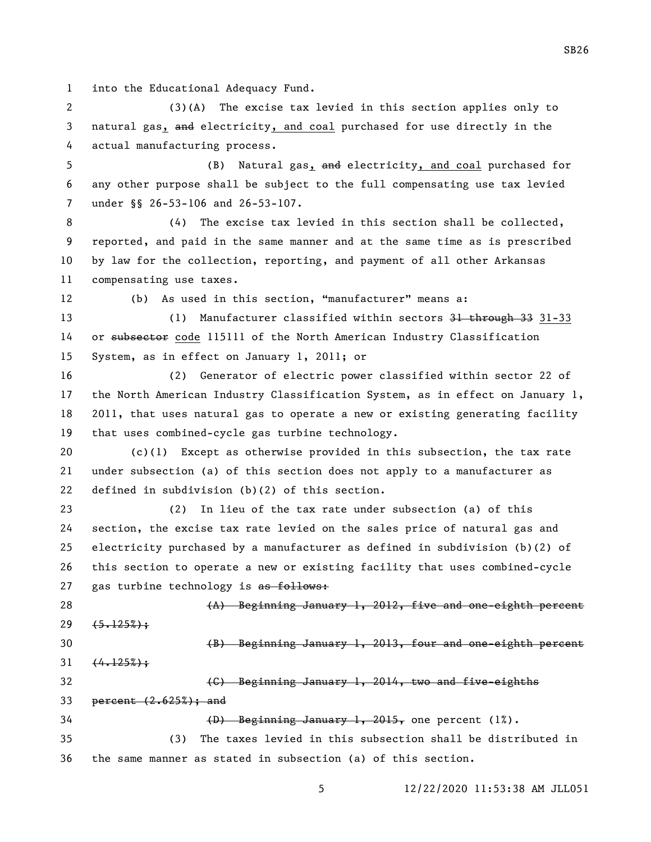into the Educational Adequacy Fund.

 (3)(A) The excise tax levied in this section applies only to natural gas, and electricity, and coal purchased for use directly in the actual manufacturing process.

5 (B) Natural gas, and electricity, and coal purchased for any other purpose shall be subject to the full compensating use tax levied 7 under §§ 26-53-106 and 26-53-107.

 (4) The excise tax levied in this section shall be collected, reported, and paid in the same manner and at the same time as is prescribed by law for the collection, reporting, and payment of all other Arkansas compensating use taxes.

(b) As used in this section, "manufacturer" means a:

13 (1) Manufacturer classified within sectors 31 through 33 31-33 14 or subsector code 115111 of the North American Industry Classification System, as in effect on January 1, 2011; or

 (2) Generator of electric power classified within sector 22 of the North American Industry Classification System, as in effect on January 1, 2011, that uses natural gas to operate a new or existing generating facility that uses combined-cycle gas turbine technology.

 (c)(1) Except as otherwise provided in this subsection, the tax rate under subsection (a) of this section does not apply to a manufacturer as defined in subdivision (b)(2) of this section.

 (2) In lieu of the tax rate under subsection (a) of this section, the excise tax rate levied on the sales price of natural gas and electricity purchased by a manufacturer as defined in subdivision (b)(2) of this section to operate a new or existing facility that uses combined-cycle 27 gas turbine technology is as follows:

 (A) Beginning January 1, 2012, five and one-eighth percent  $29 \quad \{5,125\}$ ;

(B) Beginning January 1, 2013, four and one-eighth percent

 $31 \quad (4.125%)$ 

(C) Beginning January 1, 2014, two and five-eighths

percent (2.625%); and

(D) Beginning January 1, 2015, one percent (1%).

 (3) The taxes levied in this subsection shall be distributed in the same manner as stated in subsection (a) of this section.

SB26